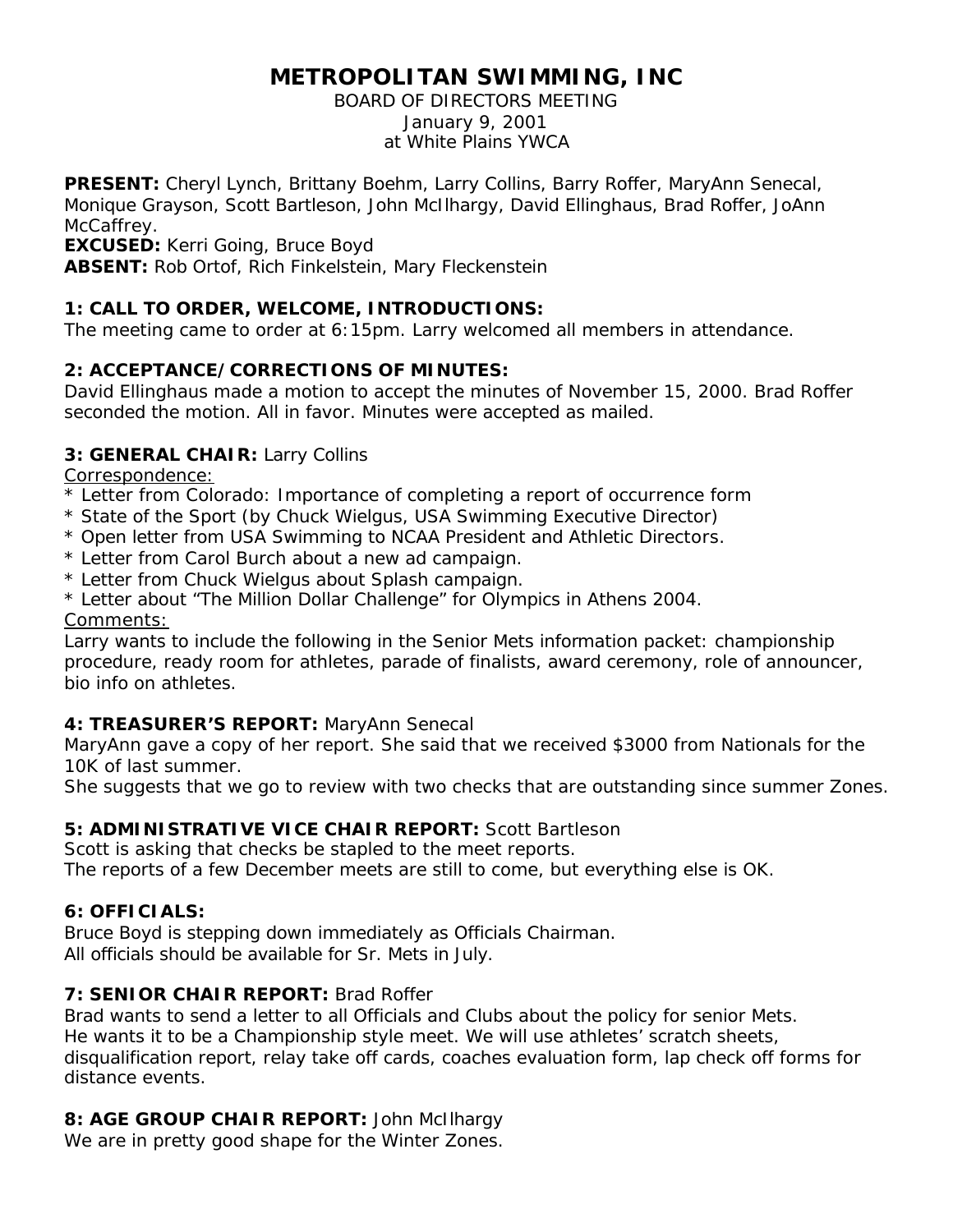# **METROPOLITAN SWIMMING, INC**

BOARD OF DIRECTORS MEETING January 9, 2001 at White Plains YWCA

**PRESENT:** Cheryl Lynch, Brittany Boehm, Larry Collins, Barry Roffer, MaryAnn Senecal, Monique Grayson, Scott Bartleson, John McIlhargy, David Ellinghaus, Brad Roffer, JoAnn McCaffrey.

**EXCUSED:** Kerri Going, Bruce Boyd

**ABSENT:** Rob Ortof, Rich Finkelstein, Mary Fleckenstein

## **1: CALL TO ORDER, WELCOME, INTRODUCTIONS:**

The meeting came to order at 6:15pm. Larry welcomed all members in attendance.

## **2: ACCEPTANCE/CORRECTIONS OF MINUTES:**

David Ellinghaus made a motion to accept the minutes of November 15, 2000. Brad Roffer seconded the motion. All in favor. Minutes were accepted as mailed.

## **3: GENERAL CHAIR:** Larry Collins

Correspondence:

- \* Letter from Colorado: Importance of completing a report of occurrence form
- \* State of the Sport (by Chuck Wielgus, USA Swimming Executive Director)
- \* Open letter from USA Swimming to NCAA President and Athletic Directors.
- \* Letter from Carol Burch about a new ad campaign.
- \* Letter from Chuck Wielgus about Splash campaign.
- \* Letter about "The Million Dollar Challenge" for Olympics in Athens 2004. Comments:

Larry wants to include the following in the Senior Mets information packet: championship procedure, ready room for athletes, parade of finalists, award ceremony, role of announcer, bio info on athletes.

## **4: TREASURER'S REPORT:** MaryAnn Senecal

MaryAnn gave a copy of her report. She said that we received \$3000 from Nationals for the 10K of last summer.

She suggests that we go to review with two checks that are outstanding since summer Zones.

#### **5: ADMINISTRATIVE VICE CHAIR REPORT:** Scott Bartleson

Scott is asking that checks be stapled to the meet reports. The reports of a few December meets are still to come, but everything else is OK.

## **6: OFFICIALS:**

Bruce Boyd is stepping down immediately as Officials Chairman. All officials should be available for Sr. Mets in July.

#### **7: SENIOR CHAIR REPORT:** Brad Roffer

Brad wants to send a letter to all Officials and Clubs about the policy for senior Mets. He wants it to be a Championship style meet. We will use athletes' scratch sheets, disqualification report, relay take off cards, coaches evaluation form, lap check off forms for distance events.

#### **8: AGE GROUP CHAIR REPORT:** John McIlhargy

We are in pretty good shape for the Winter Zones.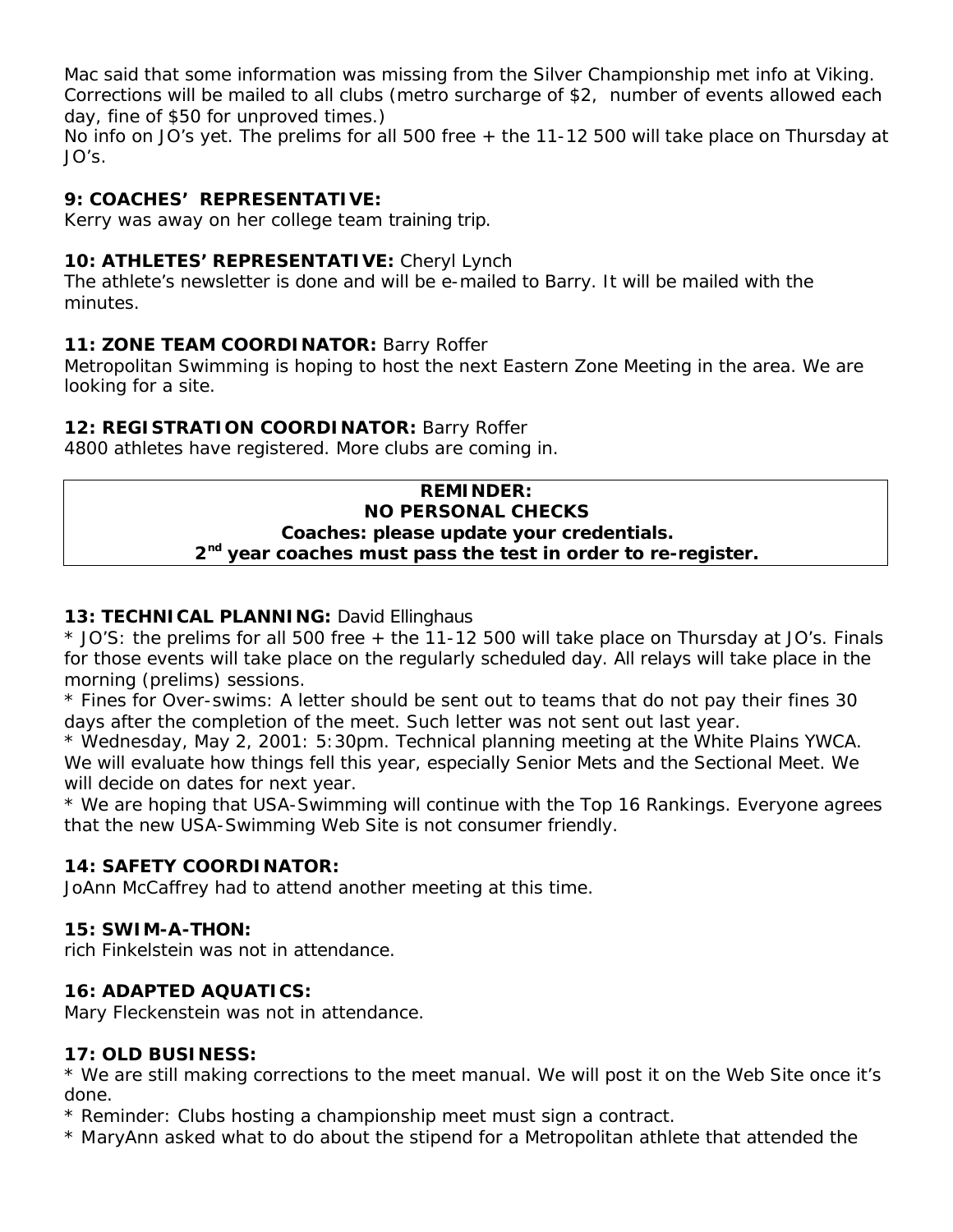Mac said that some information was missing from the Silver Championship met info at Viking. Corrections will be mailed to all clubs (metro surcharge of \$2, number of events allowed each day, fine of \$50 for unproved times.)

No info on JO's yet. The prelims for all 500 free + the 11-12 500 will take place on Thursday at JO's.

## **9: COACHES' REPRESENTATIVE:**

Kerry was away on her college team training trip.

## **10: ATHLETES' REPRESENTATIVE:** Cheryl Lynch

The athlete's newsletter is done and will be e-mailed to Barry. It will be mailed with the minutes.

## **11: ZONE TEAM COORDINATOR:** Barry Roffer

Metropolitan Swimming is hoping to host the next Eastern Zone Meeting in the area. We are looking for a site.

## **12: REGISTRATION COORDINATOR:** Barry Roffer

4800 athletes have registered. More clubs are coming in.

#### **REMINDER: NO PERSONAL CHECKS Coaches: please update your credentials. 2 nd year coaches must pass the test in order to re-register.**

### **13: TECHNICAL PLANNING:** David Ellinghaus

\* JO'S: the prelims for all 500 free + the 11-12 500 will take place on Thursday at JO's. Finals for those events will take place on the regularly scheduled day. All relays will take place in the morning (prelims) sessions.

\* Fines for Over-swims: A letter should be sent out to teams that do not pay their fines 30 days after the completion of the meet. Such letter was not sent out last year.

\* Wednesday, May 2, 2001: 5:30pm. Technical planning meeting at the White Plains YWCA. We will evaluate how things fell this year, especially Senior Mets and the Sectional Meet. We will decide on dates for next year.

\* We are hoping that USA-Swimming will continue with the Top 16 Rankings. Everyone agrees that the new USA-Swimming Web Site is not consumer friendly.

## **14: SAFETY COORDINATOR:**

JoAnn McCaffrey had to attend another meeting at this time.

#### **15: SWIM-A-THON:**

rich Finkelstein was not in attendance.

#### **16: ADAPTED AQUATICS:**

Mary Fleckenstein was not in attendance.

#### **17: OLD BUSINESS:**

\* We are still making corrections to the meet manual. We will post it on the Web Site once it's done.

\* Reminder: Clubs hosting a championship meet must sign a contract.

\* MaryAnn asked what to do about the stipend for a Metropolitan athlete that attended the